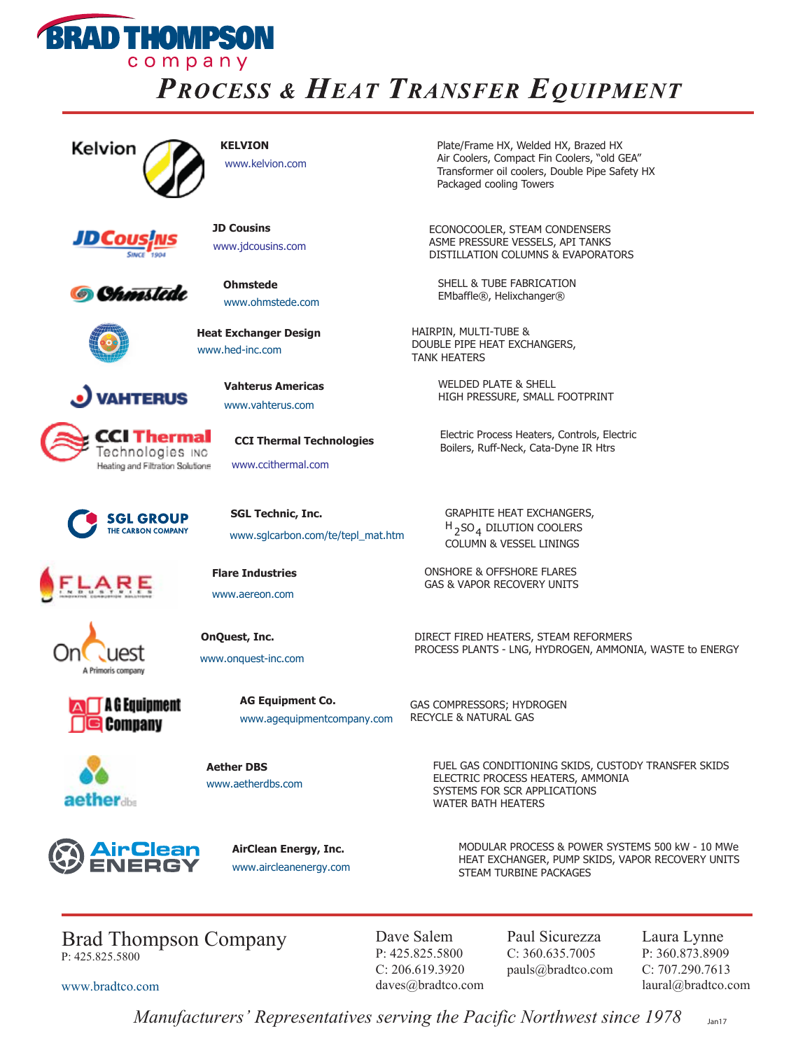

## **PROCESS & HEAT TRANSFER EQUIPMENT**



www.kelvion.com



**JD Cousins**



www.jdcousins.com

**Heat Exchanger Design** www.hed-inc.com



**Ohmstede** www.ohmstede.com

**Vahterus Americas** www.vahterus.com

www.ccithermal.com

**SGL Technic, Inc.**

**CCI Thermal Technologies**

www.sglcarbon.com/te/tepl\_mat.htm



**AHTERUS** 



**SGL GROUP** THE CARBON COMPANY





 $\Box$  A G Equipment **Sea Company** 



**Aether DBS** www.aetherdbs.com

**OnQuest, Inc.** www.onquest-inc.com

**Flare Industries** www.aereon.com

<u>irClean</u>

**AirClean Energy, Inc.** www.aircleanenergy.com

**AG Equipment Co.**

www.agequipmentcompany.com

**KELVION** Plate/Frame HX, Welded HX, Brazed HX Air Coolers, Compact Fin Coolers, "old GEA" Transformer oil coolers, Double Pipe Safety HX Packaged cooling Towers

> ECONOCOOLER, STEAM CONDENSERS ASME PRESSURE VESSELS, API TANKS DISTILLATION COLUMNS & EVAPORATORS

SHELL & TUBE FABRICATION EMbaffle®, Helixchanger®

HAIRPIN, MULTI-TUBE & DOUBLE PIPE HEAT EXCHANGERS, TANK HEATERS

> WELDED PLATE & SHELL HIGH PRESSURE, SMALL FOOTPRINT

Electric Process Heaters, Controls, Electric Boilers, Ruff-Neck, Cata-Dyne IR Htrs

GRAPHITE HEAT EXCHANGERS,  $H_{2}$ SO<sub>4</sub> DILUTION COOLERS COLUMN & VESSEL LININGS

ONSHORE & OFFSHORE FLARES GAS & VAPOR RECOVERY UNITS

DIRECT FIRED HEATERS, STEAM REFORMERS PROCESS PLANTS - LNG, HYDROGEN, AMMONIA, WASTE to ENERGY

GAS COMPRESSORS; HYDROGEN RECYCLE & NATURAL GAS

> FUEL GAS CONDITIONING SKIDS, CUSTODY TRANSFER SKIDS ELECTRIC PROCESS HEATERS, AMMONIA SYSTEMS FOR SCR APPLICATIONS WATER BATH HEATERS

MODULAR PROCESS & POWER SYSTEMS 500 kW - 10 MWe HEAT EXCHANGER, PUMP SKIDS, VAPOR RECOVERY UNITS STEAM TURBINE PACKAGES

Brad Thompson Company P: 425.825.5800

www.bradtco.com

Dave Salem P: 425.825.5800 C: 206.619.3920 daves@bradtco.com Paul Sicurezza C: 360.635.7005 pauls@bradtco.com Laura Lynne P: 360.873.8909 C: 707.290.7613 laural@bradtco.com

*Manufacturers' Representatives serving the Pacific Northwest since 1978* Jan17